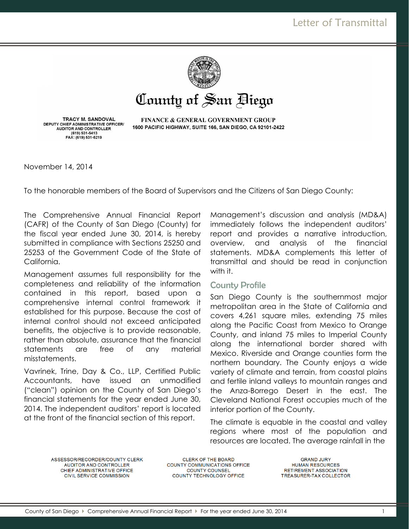

# County of San Biego

TRACY M. SANDOVAL DEPUTY CHIEF ADMINISTRATIVE OFFICER/<br>AUDITOR AND CONTROLLER (619) 531-5413 FAX: (619) 531-5219

**FINANCE & GENERAL GOVERNMENT GROUP** 1600 PACIFIC HIGHWAY, SUITE 166, SAN DIEGO, CA 92101-2422

November 14, 2014

To the honorable members of the Board of Supervisors and the Citizens of San Diego County:

The Comprehensive Annual Financial Report (CAFR) of the County of San Diego (County) for the fiscal year ended June 30, 2014, is hereby submitted in compliance with Sections 25250 and 25253 of the Government Code of the State of California.

Management assumes full responsibility for the completeness and reliability of the information contained in this report, based upon a comprehensive internal control framework it established for this purpose. Because the cost of internal control should not exceed anticipated benefits, the objective is to provide reasonable, rather than absolute, assurance that the financial statements are free of any material misstatements.

Vavrinek, Trine, Day & Co., LLP, Certified Public Accountants, have issued an unmodified ("clean") opinion on the County of San Diego's financial statements for the year ended June 30, 2014. The independent auditors' report is located at the front of the financial section of this report.

Management's discussion and analysis (MD&A) immediately follows the independent auditors' report and provides a narrative introduction, overview, and analysis of the financial statements. MD&A complements this letter of transmittal and should be read in conjunction with it.

#### County Profile

San Diego County is the southernmost major metropolitan area in the State of California and covers 4,261 square miles, extending 75 miles along the Pacific Coast from Mexico to Orange County, and inland 75 miles to Imperial County along the international border shared with Mexico. Riverside and Orange counties form the northern boundary. The County enjoys a wide variety of climate and terrain, from coastal plains and fertile inland valleys to mountain ranges and the Anza-Borrego Desert in the east. The Cleveland National Forest occupies much of the interior portion of the County.

The climate is equable in the coastal and valley regions where most of the population and resources are located. The average rainfall in the

ASSESSOR/RECORDER/COUNTY CLERK AUDITOR AND CONTROLLER CHIEF ADMINISTRATIVE OFFICE CIVIL SERVICE COMMISSION

CLERK OF THE BOARD COUNTY COMMUNICATIONS OFFICE **COUNTY COUNSEL** COUNTY TECHNOLOGY OFFICE

**GRAND JURY HUMAN RESOURCES** RETIREMENT ASSOCIATION TREASURER-TAX COLLECTOR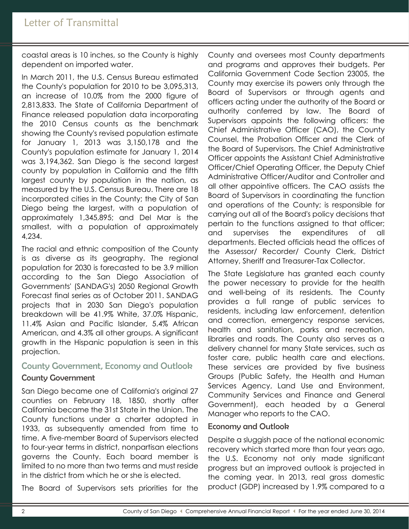coastal areas is 10 inches, so the County is highly dependent on imported water.

In March 2011, the U.S. Census Bureau estimated the County's population for 2010 to be 3,095,313, an increase of 10.0% from the 2000 figure of 2,813,833. The State of California Department of Finance released population data incorporating the 2010 Census counts as the benchmark showing the County's revised population estimate for January 1, 2013 was 3,150,178 and the County's population estimate for January 1, 2014 was 3,194,362. San Diego is the second largest county by population in California and the fifth largest county by population in the nation, as measured by the U.S. Census Bureau. There are 18 incorporated cities in the County; the City of San Diego being the largest, with a population of approximately 1,345,895; and Del Mar is the smallest, with a population of approximately 4,234.

The racial and ethnic composition of the County is as diverse as its geography. The regional population for 2030 is forecasted to be 3.9 million according to the San Diego Association of Governments' (SANDAG's) 2050 Regional Growth Forecast final series as of October 2011. SANDAG projects that in 2030 San Diego's population breakdown will be 41.9% White, 37.0% Hispanic, 11.4% Asian and Pacific Islander, 5.4% African American, and 4.3% all other groups. A significant growth in the Hispanic population is seen in this projection.

# County Government, Economy and Outlook

## County Government

San Diego became one of California's original 27 counties on February 18, 1850, shortly after California became the 31st State in the Union. The County functions under a charter adopted in 1933, as subsequently amended from time to time. A five-member Board of Supervisors elected to four-year terms in district, nonpartisan elections governs the County. Each board member is limited to no more than two terms and must reside in the district from which he or she is elected.

The Board of Supervisors sets priorities for the

County and oversees most County departments and programs and approves their budgets. Per California Government Code Section 23005, the County may exercise its powers only through the Board of Supervisors or through agents and officers acting under the authority of the Board or authority conferred by law. The Board of Supervisors appoints the following officers: the Chief Administrative Officer (CAO), the County Counsel, the Probation Officer and the Clerk of the Board of Supervisors. The Chief Administrative Officer appoints the Assistant Chief Administrative Officer/Chief Operating Officer, the Deputy Chief Administrative Officer/Auditor and Controller and all other appointive officers. The CAO assists the Board of Supervisors in coordinating the function and operations of the County; is responsible for carrying out all of the Board's policy decisions that pertain to the functions assigned to that officer; and supervises the expenditures of all departments. Elected officials head the offices of the Assessor/ Recorder/ County Clerk, District Attorney, Sheriff and Treasurer-Tax Collector.

The State Legislature has granted each county the power necessary to provide for the health and well-being of its residents. The County provides a full range of public services to residents, including law enforcement, detention and correction, emergency response services, health and sanitation, parks and recreation, libraries and roads. The County also serves as a delivery channel for many State services, such as foster care, public health care and elections. These services are provided by five business Groups (Public Safety, the Health and Human Services Agency, Land Use and Environment, Community Services and Finance and General Government), each headed by a General Manager who reports to the CAO.

#### Economy and Outlook

Despite a sluggish pace of the national economic recovery which started more than four years ago, the U.S. Economy not only made significant progress but an improved outlook is projected in the coming year. In 2013, real gross domestic product (GDP) increased by 1.9% compared to a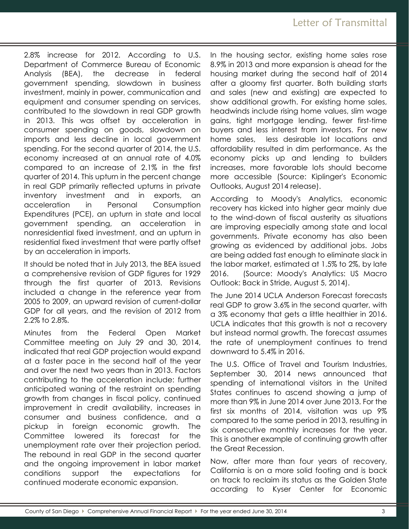2.8% increase for 2012. According to U.S. Department of Commerce Bureau of Economic Analysis (BEA), the decrease in federal government spending, slowdown in business investment, mainly in power, communication and equipment and consumer spending on services, contributed to the slowdown in real GDP growth in 2013. This was offset by acceleration in consumer spending on goods, slowdown on imports and less decline in local government spending. For the second quarter of 2014, the U.S. economy increased at an annual rate of 4.0% compared to an increase of 2.1% in the first quarter of 2014. This upturn in the percent change in real GDP primarily reflected upturns in private inventory investment and in exports, an acceleration in Personal Consumption Expenditures (PCE), an upturn in state and local government spending, an acceleration in nonresidential fixed investment, and an upturn in residential fixed investment that were partly offset by an acceleration in imports.

It should be noted that in July 2013, the BEA issued a comprehensive revision of GDP figures for 1929 through the first quarter of 2013. Revisions included a change in the reference year from 2005 to 2009, an upward revision of current-dollar GDP for all years, and the revision of 2012 from 2.2% to 2.8%.

Minutes from the Federal Open Market Committee meeting on July 29 and 30, 2014, indicated that real GDP projection would expand at a faster pace in the second half of the year and over the next two years than in 2013. Factors contributing to the acceleration include: further anticipated waning of the restraint on spending growth from changes in fiscal policy, continued improvement in credit availability, increases in consumer and business confidence, and a pickup in foreign economic growth. The Committee lowered its forecast for the unemployment rate over their projection period. The rebound in real GDP in the second quarter and the ongoing improvement in labor market conditions support the expectations for continued moderate economic expansion.

In the housing sector, existing home sales rose 8.9% in 2013 and more expansion is ahead for the housing market during the second half of 2014 after a gloomy first quarter. Both building starts and sales (new and existing) are expected to show additional growth. For existing home sales, headwinds include rising home values, slim wage gains, tight mortgage lending, fewer first-time buyers and less interest from investors. For new home sales, less desirable lot locations and affordability resulted in dim performance. As the economy picks up and lending to builders increases, more favorable lots should become more accessible (Source: Kiplinger's Economic Outlooks, August 2014 release).

According to Moody's Analytics, economic recovery has kicked into higher gear mainly due to the wind-down of fiscal austerity as situations are improving especially among state and local governments. Private economy has also been growing as evidenced by additional jobs. Jobs are being added fast enough to eliminate slack in the labor market, estimated at 1.5% to 2%, by late 2016. (Source: Moody's Analytics: US Macro Outlook: Back in Stride, August 5, 2014).

The June 2014 UCLA Anderson Forecast forecasts real GDP to grow 3.6% in the second quarter, with a 3% economy that gets a little healthier in 2016. UCLA indicates that this growth is not a recovery but instead normal growth. The forecast assumes the rate of unemployment continues to trend downward to 5.4% in 2016.

The U.S. Office of Travel and Tourism Industries, September 30, 2014 news announced that spending of international visitors in the United States continues to ascend showing a jump of more than 9% in June 2014 over June 2013. For the first six months of 2014, visitation was up 9% compared to the same period in 2013, resulting in six consecutive monthly increases for the year. This is another example of continuing growth after the Great Recession.

Now, after more than four years of recovery, California is on a more solid footing and is back on track to reclaim its status as the Golden State according to Kyser Center for Economic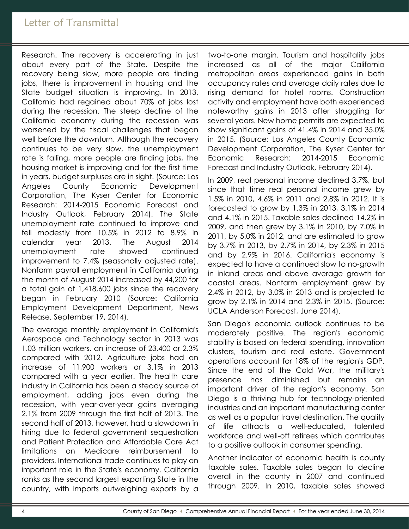Research. The recovery is accelerating in just about every part of the State. Despite the recovery being slow, more people are finding jobs, there is improvement in housing and the State budget situation is improving. In 2013, California had regained about 70% of jobs lost during the recession. The steep decline of the California economy during the recession was worsened by the fiscal challenges that began well before the downturn. Although the recovery continues to be very slow, the unemployment rate is falling, more people are finding jobs, the housing market is improving and for the first time in years, budget surpluses are in sight. (Source: Los Angeles County Economic Development Corporation, The Kyser Center for Economic Research: 2014-2015 Economic Forecast and Industry Outlook, February 2014). The State unemployment rate continued to improve and fell modestly from 10.5% in 2012 to 8.9% in calendar year 2013. The August 2014 unemployment rate showed continued improvement to 7.4% (seasonally adjusted rate). Nonfarm payroll employment in California during the month of August 2014 increased by 44,200 for a total gain of 1,418,600 jobs since the recovery began in February 2010 (Source: California Employment Development Department, News Release, September 19, 2014).

The average monthly employment in California's Aerospace and Technology sector in 2013 was 1.03 million workers, an increase of 23,400 or 2.3% compared with 2012. Agriculture jobs had an increase of 11,900 workers or 3.1% in 2013 compared with a year earlier. The health care industry in California has been a steady source of employment, adding jobs even during the recession, with year-over-year gains averaging 2.1% from 2009 through the first half of 2013. The second half of 2013, however, had a slowdown in hiring due to federal government sequestration and Patient Protection and Affordable Care Act limitations on Medicare reimbursement to providers. International trade continues to play an important role in the State's economy. California ranks as the second largest exporting State in the country, with imports outweighing exports by a

two-to-one margin. Tourism and hospitality jobs increased as all of the major California metropolitan areas experienced gains in both occupancy rates and average daily rates due to rising demand for hotel rooms. Construction activity and employment have both experienced noteworthy gains in 2013 after struggling for several years. New home permits are expected to show significant gains of 41.4% in 2014 and 35.0% in 2015. (Source: Los Angeles County Economic Development Corporation, The Kyser Center for Economic Research: 2014-2015 Economic Forecast and Industry Outlook, February 2014).

In 2009, real personal income declined 3.7%, but since that time real personal income grew by 1.5% in 2010, 4.6% in 2011 and 2.8% in 2012. It is forecasted to grow by 1.3% in 2013, 3.1% in 2014 and 4.1% in 2015. Taxable sales declined 14.2% in 2009, and then grew by 3.1% in 2010, by 7.0% in 2011, by 5.0% in 2012, and are estimated to grow by 3.7% in 2013, by 2.7% in 2014, by 2.3% in 2015 and by 2.9% in 2016. California's economy is expected to have a continued slow to no-growth in inland areas and above average growth for coastal areas. Nonfarm employment grew by 2.4% in 2012, by 3.0% in 2013 and is projected to grow by 2.1% in 2014 and 2.3% in 2015. (Source: UCLA Anderson Forecast, June 2014).

San Diego's economic outlook continues to be moderately positive. The region's economic stability is based on federal spending, innovation clusters, tourism and real estate. Government operations account for 18% of the region's GDP. Since the end of the Cold War, the military's presence has diminished but remains an important driver of the region's economy. San Diego is a thriving hub for technology-oriented industries and an important manufacturing center as well as a popular travel destination. The quality of life attracts a well-educated, talented workforce and well-off retirees which contributes to a positive outlook in consumer spending.

Another indicator of economic health is county taxable sales. Taxable sales began to decline overall in the county in 2007 and continued through 2009. In 2010, taxable sales showed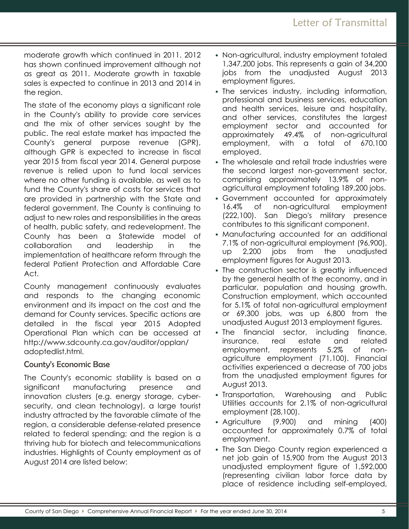moderate growth which continued in 2011. 2012 has shown continued improvement although not as great as 2011. Moderate growth in taxable sales is expected to continue in 2013 and 2014 in the region.

The state of the economy plays a significant role in the County's ability to provide core services and the mix of other services sought by the public. The real estate market has impacted the County's general purpose revenue (GPR), although GPR is expected to increase in fiscal year 2015 from fiscal year 2014. General purpose revenue is relied upon to fund local services where no other funding is available, as well as to fund the County's share of costs for services that are provided in partnership with the State and federal government. The County is continuing to adjust to new roles and responsibilities in the areas of health, public safety, and redevelopment. The County has been a Statewide model of collaboration and leadership in the implementation of healthcare reform through the federal Patient Protection and Affordable Care Act.

County management continuously evaluates and responds to the changing economic environment and its impact on the cost and the demand for County services. Specific actions are detailed in the fiscal year 2015 Adopted Operational Plan which can be accessed at http://www.sdcounty.ca.gov/auditor/opplan/ adoptedlist.html.

#### County's Economic Base

The County's economic stability is based on a significant manufacturing presence and innovation clusters (e.g. energy storage, cybersecurity, and clean technology), a large tourist industry attracted by the favorable climate of the region, a considerable defense-related presence related to federal spending; and the region is a thriving hub for biotech and telecommunications industries. Highlights of County employment as of August 2014 are listed below:

- Non-agricultural, industry employment totaled 1,347,200 jobs. This represents a gain of 34,200 jobs from the unadjusted August 2013 employment figures.
- The services industry, including information, professional and business services, education and health services, leisure and hospitality, and other services, constitutes the largest employment sector and accounted for approximately 49.4% of non-agricultural employment, with a total of 670,100 employed.
- The wholesale and retail trade industries were the second largest non-government sector, comprising approximately 13.9% of nonagricultural employment totaling 189,200 jobs.
- Government accounted for approximately 16.4% of non-agricultural employment (222,100). San Diego's military presence contributes to this significant component.
- Manufacturing accounted for an additional 7.1% of non-agricultural employment (96,900), up 2,200 jobs from the unadjusted employment figures for August 2013.
- The construction sector is greatly influenced by the general health of the economy, and in particular, population and housing growth. Construction employment, which accounted for 5.1% of total non-agricultural employment or 69,300 jobs, was up 6,800 from the unadjusted August 2013 employment figures.
- The financial sector, including finance, insurance, real estate and related employment, represents 5.2% of nonagriculture employment (71,100). Financial activities experienced a decrease of 700 jobs from the unadjusted employment figures for August 2013.
- Transportation, Warehousing and Public Utilities accounts for 2.1% of non-agricultural employment (28,100).
- Agriculture (9,900) and mining (400) accounted for approximately 0.7% of total employment.
- The San Diego County region experienced a net job gain of 15,900 from the August 2013 unadjusted employment figure of 1,592,000 (representing civilian labor force data by place of residence including self-employed,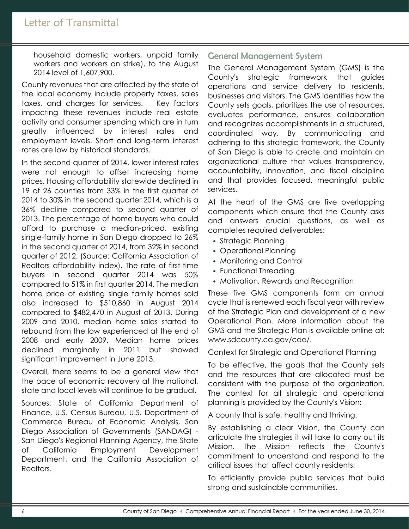household domestic workers, unpaid family workers and workers on strike), to the August 2014 level of 1,607,900.

County revenues that are affected by the state of the local economy include property taxes, sales taxes, and charges for services. Key factors impacting these revenues include real estate activity and consumer spending which are in turn greatly influenced by interest rates and employment levels. Short and long-term interest rates are low by historical standards.

In the second quarter of 2014, lower interest rates were not enough to offset increasing home prices. Housing affordability statewide declined in 19 of 26 counties from 33% in the first quarter of 2014 to 30% in the second quarter 2014, which is a 36% decline compared to second quarter of 2013. The percentage of home buyers who could afford to purchase a median-priced, existing single-family home in San Diego dropped to 26% in the second quarter of 2014, from 32% in second quarter of 2012. (Source: California Association of Realtors affordability index). The rate of first-time buyers in second quarter 2014 was 50% compared to 51% in first quarter 2014. The median home price of existing single family homes sold also increased to \$510,860 in August 2014 compared to \$482,470 in August of 2013. During 2009 and 2010, median home sales started to rebound from the low experienced at the end of 2008 and early 2009. Median home prices declined marginally in 2011 but showed significant improvement in June 2013.

Overall, there seems to be a general view that the pace of economic recovery at the national, state and local levels will continue to be gradual.

Sources: State of California Department of Finance, U.S. Census Bureau, U.S. Department of Commerce Bureau of Economic Analysis, San Diego Association of Governments (SANDAG) - San Diego's Regional Planning Agency, the State of California Employment Development Department, and the California Association of Realtors.

# General Management System

The General Management System (GMS) is the County's strategic framework that guides operations and service delivery to residents, businesses and visitors. The GMS identifies how the County sets goals, prioritizes the use of resources, evaluates performance, ensures collaboration and recognizes accomplishments in a structured, coordinated way. By communicating and adhering to this strategic framework, the County of San Diego is able to create and maintain an organizational culture that values transparency, accountability, innovation, and fiscal discipline and that provides focused, meaningful public services.

At the heart of the GMS are five overlapping components which ensure that the County asks and answers crucial questions, as well as completes required deliverables:

- Strategic Planning
- Operational Planning
- Monitoring and Control
- Functional Threading
- Motivation, Rewards and Recognition

These five GMS components form an annual cycle that is renewed each fiscal year with review of the Strategic Plan and development of a new Operational Plan. More information about the GMS and the Strategic Plan is available online at: www.sdcounty.ca.gov/cao/.

Context for Strategic and Operational Planning

To be effective, the goals that the County sets and the resources that are allocated must be consistent with the purpose of the organization. The context for all strategic and operational planning is provided by the County's Vision:

A county that is safe, healthy and thriving.

By establishing a clear Vision, the County can articulate the strategies it will take to carry out its Mission. The Mission reflects the County's commitment to understand and respond to the critical issues that affect county residents:

To efficiently provide public services that build strong and sustainable communities.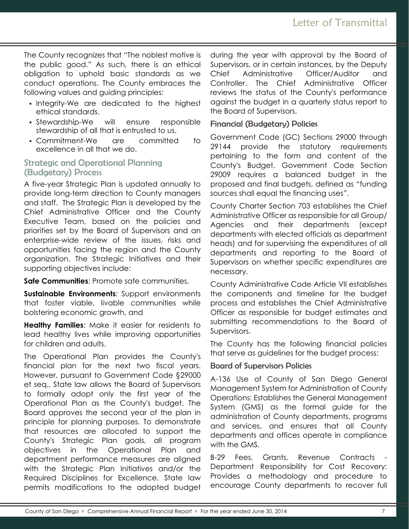The County recognizes that "The noblest motive is the public good." As such, there is an ethical obligation to uphold basic standards as we conduct operations. The County embraces the following values and guiding principles:

- Integrity-We are dedicated to the highest ethical standards.
- Stewardship-We will ensure responsible stewardship of all that is entrusted to us.
- Commitment-We are committed to excellence in all that we do.

# Strategic and Operational Planning (Budgetary) Process

A five-year Strategic Plan is updated annually to provide long-term direction to County managers and staff. The Strategic Plan is developed by the Chief Administrative Officer and the County Executive Team, based on the policies and priorities set by the Board of Supervisors and an enterprise-wide review of the issues, risks and opportunities facing the region and the County organization. The Strategic Initiatives and their supporting objectives include:

**Safe Communities**: Promote safe communities,

**Sustainable Environments**: Support environments that foster viable, livable communities while bolstering economic growth, and

**Healthy Families**: Make it easier for residents to lead healthy lives while improving opportunities for children and adults.

The Operational Plan provides the County's financial plan for the next two fiscal years. However, pursuant to Government Code §29000 et seq., State law allows the Board of Supervisors to formally adopt only the first year of the Operational Plan as the County's budget. The Board approves the second year of the plan in principle for planning purposes. To demonstrate that resources are allocated to support the County's Strategic Plan goals, all program objectives in the Operational Plan and department performance measures are aligned with the Strategic Plan Initiatives and/or the Required Disciplines for Excellence. State law permits modifications to the adopted budget during the year with approval by the Board of Supervisors, or in certain instances, by the Deputy Chief Administrative Officer/Auditor and Controller. The Chief Administrative Officer reviews the status of the County's performance against the budget in a quarterly status report to the Board of Supervisors.

# Financial (Budgetary) Policies

Government Code (GC) Sections 29000 through 29144 provide the statutory requirements pertaining to the form and content of the County's Budget. Government Code Section 29009 requires a balanced budget in the proposed and final budgets, defined as "funding sources shall equal the financing uses".

County Charter Section 703 establishes the Chief Administrative Officer as responsible for all Group/ Agencies and their departments (except departments with elected officials as department heads) and for supervising the expenditures of all departments and reporting to the Board of Supervisors on whether specific expenditures are necessary.

County Administrative Code Article VII establishes the components and timeline for the budget process and establishes the Chief Administrative Officer as responsible for budget estimates and submitting recommendations to the Board of Supervisors.

The County has the following financial policies that serve as guidelines for the budget process:

# Board of Supervisors Policies

A-136 Use of County of San Diego General Management System for Administration of County Operations: Establishes the General Management System (GMS) as the formal guide for the administration of County departments, programs and services, and ensures that all County departments and offices operate in compliance with the GMS.

B-29 Fees, Grants, Revenue Contracts Department Responsibility for Cost Recovery: Provides a methodology and procedure to encourage County departments to recover full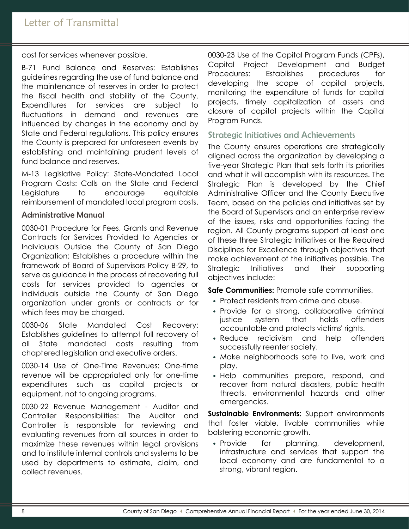cost for services whenever possible.

B-71 Fund Balance and Reserves: Establishes guidelines regarding the use of fund balance and the maintenance of reserves in order to protect the fiscal health and stability of the County. Expenditures for services are subject to fluctuations in demand and revenues are influenced by changes in the economy and by State and Federal regulations. This policy ensures the County is prepared for unforeseen events by establishing and maintaining prudent levels of fund balance and reserves.

M-13 Legislative Policy: State-Mandated Local Program Costs: Calls on the State and Federal Legislature to encourage equitable reimbursement of mandated local program costs.

#### Administrative Manual

0030-01 Procedure for Fees, Grants and Revenue Contracts for Services Provided to Agencies or Individuals Outside the County of San Diego Organization: Establishes a procedure within the framework of Board of Supervisors Policy B-29, to serve as guidance in the process of recovering full costs for services provided to agencies or individuals outside the County of San Diego organization under grants or contracts or for which fees may be charged.

0030-06 State Mandated Cost Recovery: Establishes guidelines to attempt full recovery of all State mandated costs resulting from chaptered legislation and executive orders.

0030-14 Use of One-Time Revenues: One-time revenue will be appropriated only for one-time expenditures such as capital projects or equipment, not to ongoing programs.

0030-22 Revenue Management - Auditor and Controller Responsibilities: The Auditor and Controller is responsible for reviewing and evaluating revenues from all sources in order to maximize these revenues within legal provisions and to institute internal controls and systems to be used by departments to estimate, claim, and collect revenues.

0030-23 Use of the Capital Program Funds (CPFs), Capital Project Development and Budget Procedures: Establishes procedures for developing the scope of capital projects, monitoring the expenditure of funds for capital projects, timely capitalization of assets and closure of capital projects within the Capital Program Funds.

#### Strategic Initiatives and Achievements

The County ensures operations are strategically aligned across the organization by developing a five-year Strategic Plan that sets forth its priorities and what it will accomplish with its resources. The Strategic Plan is developed by the Chief Administrative Officer and the County Executive Team, based on the policies and initiatives set by the Board of Supervisors and an enterprise review of the issues, risks and opportunities facing the region. All County programs support at least one of these three Strategic Initiatives or the Required Disciplines for Excellence through objectives that make achievement of the initiatives possible. The Strategic Initiatives and their supporting objectives include:

**Safe Communities:** Promote safe communities.

- Protect residents from crime and abuse.
- Provide for a strong, collaborative criminal justice system that holds offenders accountable and protects victims' rights.
- Reduce recidivism and help offenders successfully reenter society.
- Make neighborhoods safe to live, work and play.
- Help communities prepare, respond, and recover from natural disasters, public health threats, environmental hazards and other emergencies.

**Sustainable Environments:** Support environments that foster viable, livable communities while bolstering economic growth.

• Provide for planning, development, infrastructure and services that support the local economy and are fundamental to a strong, vibrant region.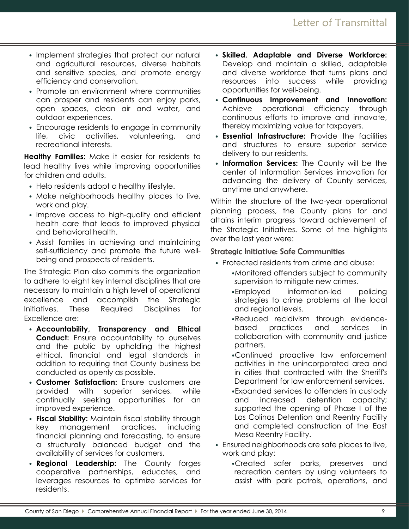- Implement strategies that protect our natural and agricultural resources, diverse habitats and sensitive species, and promote energy efficiency and conservation.
- Promote an environment where communities can prosper and residents can enjoy parks, open spaces, clean air and water, and outdoor experiences.
- Encourage residents to engage in community life, civic activities, volunteering, and recreational interests.

**Healthy Families:** Make it easier for residents to lead healthy lives while improving opportunities for children and adults.

- Help residents adopt a healthy lifestyle.
- Make neighborhoods healthy places to live, work and play.
- Improve access to high-quality and efficient health care that leads to improved physical and behavioral health.
- Assist families in achieving and maintaining self-sufficiency and promote the future wellbeing and prospects of residents.

The Strategic Plan also commits the organization to adhere to eight key internal disciplines that are necessary to maintain a high level of operational excellence and accomplish the Strategic Initiatives. These Required Disciplines for Excellence are:

- **Accountability, Transparency and Ethical Conduct:** Ensure accountability to ourselves and the public by upholding the highest ethical, financial and legal standards in addition to requiring that County business be conducted as openly as possible.
- **Customer Satisfaction:** Ensure customers are provided with superior services, while continually seeking opportunities for an improved experience.
- **Fiscal Stability:** Maintain fiscal stability through key management practices, including financial planning and forecasting, to ensure a structurally balanced budget and the availability of services for customers.
- **Regional Leadership:** The County forges cooperative partnerships, educates, and leverages resources to optimize services for residents.
- **Skilled, Adaptable and Diverse Workforce:** Develop and maintain a skilled, adaptable and diverse workforce that turns plans and resources into success while providing opportunities for well-being.
- **Continuous Improvement and Innovation:** Achieve operational efficiency through continuous efforts to improve and innovate, thereby maximizing value for taxpayers.
- **Essential Infrastructure:** Provide the facilities and structures to ensure superior service delivery to our residents.
- **Information Services:** The County will be the center of Information Services innovation for advancing the delivery of County services, anytime and anywhere.

Within the structure of the two-year operational planning process, the County plans for and attains interim progress toward achievement of the Strategic Initiatives. Some of the highlights over the last year were:

# Strategic Initiative: Safe Communities

- Protected residents from crime and abuse:
	- •Monitored offenders subject to community supervision to mitigate new crimes.
	- •Employed information-led policing strategies to crime problems at the local and regional levels.
	- •Reduced recidivism through evidencebased practices and services in collaboration with community and justice partners.
	- •Continued proactive law enforcement activities in the unincorporated area and in cities that contracted with the Sheriff's Department for law enforcement services.
	- •Expanded services to offenders in custody and increased detention capacity; supported the opening of Phase I of the Las Colinas Detention and Reentry Facility and completed construction of the East Mesa Reentry Facility.
- Ensured neighborhoods are safe places to live, work and play:
	- •Created safer parks, preserves and recreation centers by using volunteers to assist with park patrols, operations, and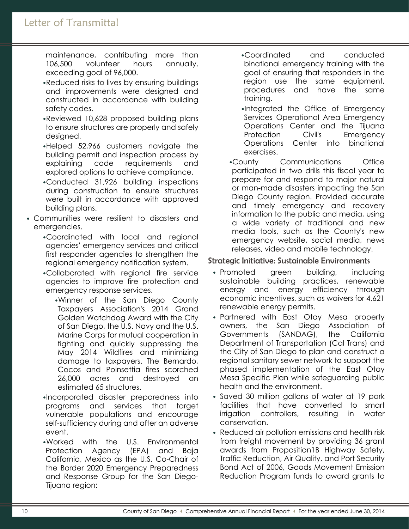# Letter of Transmittal

maintenance, contributing more than 106,500 volunteer hours annually, exceeding goal of 96,000.

- •Reduced risks to lives by ensuring buildings and improvements were designed and constructed in accordance with building safety codes.
- •Reviewed 10,628 proposed building plans to ensure structures are properly and safely designed.
- •Helped 52,966 customers navigate the building permit and inspection process by explaining code requirements and explored options to achieve compliance.
- •Conducted 31,926 building inspections during construction to ensure structures were built in accordance with approved building plans.
- Communities were resilient to disasters and emergencies.
	- •Coordinated with local and regional agencies' emergency services and critical first responder agencies to strengthen the regional emergency notification system.
	- •Collaborated with regional fire service agencies to improve fire protection and emergency response services.
		- •Winner of the San Diego County Taxpayers Association's 2014 Grand Golden Watchdog Award with the City of San Diego, the U.S. Navy and the U.S. Marine Corps for mutual cooperation in fighting and quickly suppressing the May 2014 Wildfires and minimizing damage to taxpayers. The Bernardo, Cocos and Poinsettia fires scorched 26,000 acres and destroyed an estimated 65 structures.
	- •Incorporated disaster preparedness into programs and services that target vulnerable populations and encourage self-sufficiency during and after an adverse event.
	- •Worked with the U.S. Environmental Protection Agency (EPA) and Baja California, Mexico as the U.S. Co-Chair of the Border 2020 Emergency Preparedness and Response Group for the San Diego-Tijuana region:
- •Coordinated and conducted binational emergency training with the goal of ensuring that responders in the region use the same equipment, procedures and have the same training.
- •Integrated the Office of Emergency Services Operational Area Emergency Operations Center and the Tijuana Protection Civil's Emergency Operations Center into binational exercises.

•County Communications Office participated in two drills this fiscal year to prepare for and respond to major natural or man-made disasters impacting the San Diego County region. Provided accurate and timely emergency and recovery information to the public and media, using a wide variety of traditional and new media tools, such as the County's new emergency website, social media, news releases, video and mobile technology.

#### Strategic Initiative: Sustainable Environments

- Promoted green building, including sustainable building practices, renewable energy and energy efficiency through economic incentives, such as waivers for 4,621 renewable energy permits.
- Partnered with East Otay Mesa property owners, the San Diego Association of Governments (SANDAG), the California Department of Transportation (Cal Trans) and the City of San Diego to plan and construct a regional sanitary sewer network to support the phased implementation of the East Otay Mesa Specific Plan while safeguarding public health and the environment.
- Saved 30 million gallons of water at 19 park facilities that have converted to smart irrigation controllers, resulting in water conservation.
- Reduced air pollution emissions and health risk from freight movement by providing 36 grant awards from Proposition1B Highway Safety, Traffic Reduction, Air Quality, and Port Security Bond Act of 2006, Goods Movement Emission Reduction Program funds to award grants to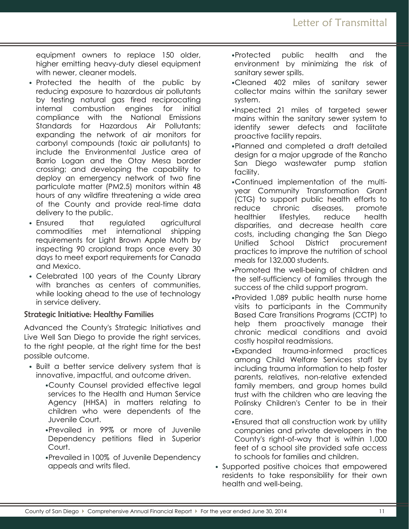equipment owners to replace 150 older, higher emitting heavy-duty diesel equipment with newer, cleaner models.

- Protected the health of the public by reducing exposure to hazardous air pollutants by testing natural gas fired reciprocating internal combustion engines for initial compliance with the National Emissions Standards for Hazardous Air Pollutants; expanding the network of air monitors for carbonyl compounds (toxic air pollutants) to include the Environmental Justice area of Barrio Logan and the Otay Mesa border crossing; and developing the capability to deploy an emergency network of two fine particulate matter (PM2.5) monitors within 48 hours of any wildfire threatening a wide area of the County and provide real-time data delivery to the public.
- Ensured that regulated agricultural commodities met international shipping requirements for Light Brown Apple Moth by inspecting 90 cropland traps once every 30 days to meet export requirements for Canada and Mexico.
- Celebrated 100 years of the County Library with branches as centers of communities, while looking ahead to the use of technology in service delivery.

# Strategic Initiative: Healthy Families

Advanced the County's Strategic Initiatives and Live Well San Diego to provide the right services, to the right people, at the right time for the best possible outcome.

- Built a better service delivery system that is innovative, impactful, and outcome driven.
	- •County Counsel provided effective legal services to the Health and Human Service Agency (HHSA) in matters relating to children who were dependents of the Juvenile Court.
	- •Prevailed in 99% or more of Juvenile Dependency petitions filed in Superior Court.
	- •Prevailed in 100% of Juvenile Dependency appeals and writs filed.
- •Protected public health and the environment by minimizing the risk of sanitary sewer spills.
- •Cleaned 402 miles of sanitary sewer collector mains within the sanitary sewer system.
- •Inspected 21 miles of targeted sewer mains within the sanitary sewer system to identify sewer defects and facilitate proactive facility repairs.
- •Planned and completed a draft detailed design for a major upgrade of the Rancho San Diego wastewater pump station facility.
- •Continued implementation of the multiyear Community Transformation Grant (CTG) to support public health efforts to reduce chronic diseases, promote healthier lifestyles, reduce health disparities, and decrease health care costs, including changing the San Diego Unified School District procurement practices to improve the nutrition of school meals for 132,000 students.
- •Promoted the well-being of children and the self-sufficiency of families through the success of the child support program.
- •Provided 1,089 public health nurse home visits to participants in the Community Based Care Transitions Programs (CCTP) to help them proactively manage their chronic medical conditions and avoid costly hospital readmissions.
- •Expanded trauma-informed practices among Child Welfare Services staff by including trauma information to help foster parents, relatives, non-relative extended family members, and group homes build trust with the children who are leaving the Polinsky Children's Center to be in their care.
- •Ensured that all construction work by utility companies and private developers in the County's right-of-way that is within 1,000 feet of a school site provided safe access to schools for families and children.
- Supported positive choices that empowered residents to take responsibility for their own health and well-being.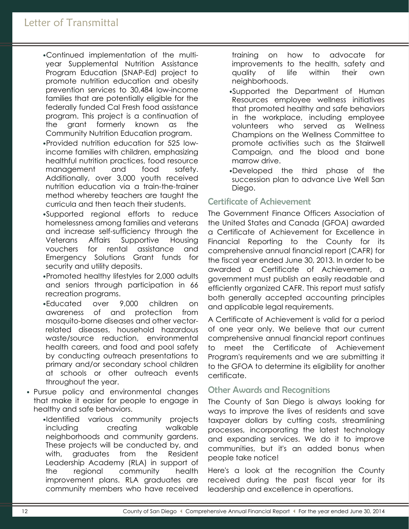- •Continued implementation of the multiyear Supplemental Nutrition Assistance Program Education (SNAP-Ed) project to promote nutrition education and obesity prevention services to 30,484 low-income families that are potentially eligible for the federally funded Cal Fresh food assistance program. This project is a continuation of the grant formerly known as the Community Nutrition Education program.
- •Provided nutrition education for 525 lowincome families with children, emphasizing healthful nutrition practices, food resource management and food safety. Additionally, over 3,000 youth received nutrition education via a train-the-trainer method whereby teachers are taught the curricula and then teach their students.
- •Supported regional efforts to reduce homelessness among families and veterans and increase self-sufficiency through the Veterans Affairs Supportive Housing vouchers for rental assistance and Emergency Solutions Grant funds for security and utility deposits.
- •Promoted healthy lifestyles for 2,000 adults and seniors through participation in 66 recreation programs.
- •Educated over 9,000 children on awareness of and protection from mosquito-borne diseases and other vectorrelated diseases, household hazardous waste/source reduction, environmental health careers, and food and pool safety by conducting outreach presentations to primary and/or secondary school children at schools or other outreach events throughout the year.
- Pursue policy and environmental changes that make it easier for people to engage in healthy and safe behaviors.

•Identified various community projects including creating walkable neighborhoods and community gardens. These projects will be conducted by, and with, graduates from the Resident Leadership Academy (RLA) in support of the regional community health improvement plans. RLA graduates are community members who have received

training on how to advocate for improvements to the health, safety and quality of life within their own neighborhoods.

- •Supported the Department of Human Resources employee wellness initiatives that promoted healthy and safe behaviors in the workplace, including employee volunteers who served as Wellness Champions on the Wellness Committee to promote activities such as the Stairwell Campaign, and the blood and bone marrow drive.
- •Developed the third phase of the succession plan to advance Live Well San Diego.

# Certificate of Achievement

The Government Finance Officers Association of the United States and Canada (GFOA) awarded a Certificate of Achievement for Excellence in Financial Reporting to the County for its comprehensive annual financial report (CAFR) for the fiscal year ended June 30, 2013. In order to be awarded a Certificate of Achievement, a government must publish an easily readable and efficiently organized CAFR. This report must satisfy both generally accepted accounting principles and applicable legal requirements.

A Certificate of Achievement is valid for a period of one year only. We believe that our current comprehensive annual financial report continues to meet the Certificate of Achievement Program's requirements and we are submitting it to the GFOA to determine its eligibility for another certificate.

## Other Awards and Recognitions

The County of San Diego is always looking for ways to improve the lives of residents and save taxpayer dollars by cutting costs, streamlining processes, incorporating the latest technology and expanding services. We do it to improve communities, but it's an added bonus when people take notice!

Here's a look at the recognition the County received during the past fiscal year for its leadership and excellence in operations.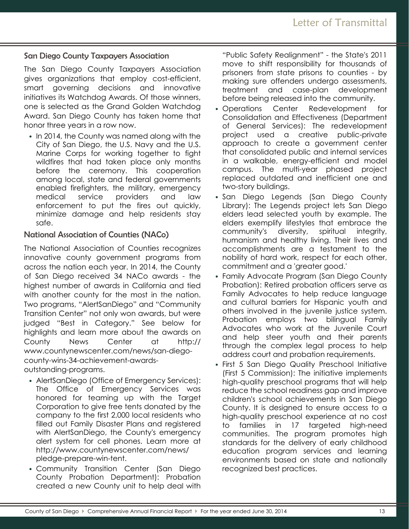San Diego County Taxpayers Association

The San Diego County Taxpayers Association gives organizations that employ cost-efficient, smart governing decisions and innovative initiatives its Watchdog Awards. Of those winners, one is selected as the Grand Golden Watchdog Award. San Diego County has taken home that honor three years in a row now.

• In 2014, the County was named along with the City of San Diego, the U.S. Navy and the U.S. Marine Corps for working together to fight wildfires that had taken place only months before the ceremony. This cooperation among local, state and federal governments enabled firefighters, the military, emergency medical service providers and law enforcement to put the fires out quickly, minimize damage and help residents stay safe.

#### National Association of Counties (NACo)

The National Association of Counties recognizes innovative county government programs from across the nation each year. In 2014, the County of San Diego received 34 NACo awards - the highest number of awards in California and tied with another county for the most in the nation. Two programs, "AlertSanDiego" and "Community Transition Center" not only won awards, but were judged "Best in Category." See below for highlights and learn more about the awards on County News Center at http:// www.countynewscenter.com/news/san-diegocounty-wins-34-achievement-awardsoutstanding-programs.

- AlertSanDiego (Office of Emergency Services): The Office of Emergency Services was honored for teaming up with the Target Corporation to give free tents donated by the company to the first 2,000 local residents who filled out Family Disaster Plans and registered with AlertSanDiego, the County's emergency alert system for cell phones. Learn more at http://www.countynewscenter.com/news/ pledge-prepare-win-tent.
- Community Transition Center (San Diego County Probation Department): Probation created a new County unit to help deal with

"Public Safety Realignment" - the State's 2011 move to shift responsibility for thousands of prisoners from state prisons to counties - by making sure offenders undergo assessments, treatment and case-plan development before being released into the community.

- Operations Center Redevelopment for Consolidation and Effectiveness (Department of General Services): The redevelopment project used a creative public-private approach to create a government center that consolidated public and internal services in a walkable, energy-efficient and model campus. The multi-year phased project replaced outdated and inefficient one and two-story buildings.
- San Diego Legends (San Diego County Library): The Legends project lets San Diego elders lead selected youth by example. The elders exemplify lifestyles that embrace the community's diversity, spiritual integrity, humanism and healthy living. Their lives and accomplishments are a testament to the nobility of hard work, respect for each other, commitment and a 'greater good.'
- Family Advocate Program (San Diego County Probation): Retired probation officers serve as Family Advocates to help reduce language and cultural barriers for Hispanic youth and others involved in the juvenile justice system. Probation employs two bilingual Family Advocates who work at the Juvenile Court and help steer youth and their parents through the complex legal process to help address court and probation requirements.
- First 5 San Diego Quality Preschool Initiative (First 5 Commission): The initiative implements high-quality preschool programs that will help reduce the school readiness gap and improve children's school achievements in San Diego County. It is designed to ensure access to a high-quality preschool experience at no cost to families in 17 targeted high-need communities. The program promotes high standards for the delivery of early childhood education program services and learning environments based on state and nationally recognized best practices.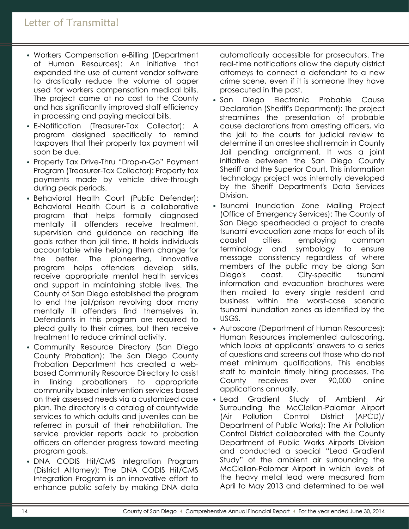- Workers Compensation e-Billing (Department of Human Resources): An initiative that expanded the use of current vendor software to drastically reduce the volume of paper used for workers compensation medical bills. The project came at no cost to the County and has significantly improved staff efficiency in processing and paying medical bills.
- E-Notification (Treasurer-Tax Collector): A program designed specifically to remind taxpayers that their property tax payment will soon be due.
- Property Tax Drive-Thru "Drop-n-Go" Payment Program (Treasurer-Tax Collector): Property tax payments made by vehicle drive-through during peak periods.
- Behavioral Health Court (Public Defender): Behavioral Health Court is a collaborative program that helps formally diagnosed mentally ill offenders receive treatment, supervision and guidance on reaching life goals rather than jail time. It holds individuals accountable while helping them change for the better. The pioneering, innovative program helps offenders develop skills, receive appropriate mental health services and support in maintaining stable lives. The County of San Diego established the program to end the jail/prison revolving door many mentally ill offenders find themselves in. Defendants in this program are required to plead guilty to their crimes, but then receive treatment to reduce criminal activity.
- Community Resource Directory (San Diego County Probation): The San Diego County Probation Department has created a webbased Community Resource Directory to assist in linking probationers to appropriate community based intervention services based on their assessed needs via a customized case plan. The directory is a catalog of countywide services to which adults and juveniles can be referred in pursuit of their rehabilitation. The service provider reports back to probation officers on offender progress toward meeting program goals.
- DNA CODIS Hit/CMS Integration Program (District Attorney): The DNA CODIS Hit/CMS Integration Program is an innovative effort to enhance public safety by making DNA data

automatically accessible for prosecutors. The real-time notifications allow the deputy district attorneys to connect a defendant to a new crime scene, even if it is someone they have prosecuted in the past.

- San Diego Electronic Probable Cause Declaration (Sheriff's Department): The project streamlines the presentation of probable cause declarations from arresting officers, via the jail to the courts for judicial review to determine if an arrestee shall remain in County Jail pending arraignment. It was a joint initiative between the San Diego County Sheriff and the Superior Court. This information technology project was internally developed by the Sheriff Department's Data Services Division.
- Tsunami Inundation Zone Mailing Project (Office of Emergency Services): The County of San Diego spearheaded a project to create tsunami evacuation zone maps for each of its coastal cities, employing common terminology and symbology to ensure message consistency regardless of where members of the public may be along San Diego's coast. City-specific tsunami information and evacuation brochures were then mailed to every single resident and business within the worst-case scenario tsunami inundation zones as identified by the USGS.
- Autoscore (Department of Human Resources): Human Resources implemented autoscoring, which looks at applicants' answers to a series of questions and screens out those who do not meet minimum qualifications. This enables staff to maintain timely hiring processes. The County receives over 90,000 online applications annually.
- Lead Gradient Study of Ambient Air Surrounding the McClellan-Palomar Airport (Air Pollution Control District (APCD)/ Department of Public Works): The Air Pollution Control District collaborated with the County Department of Public Works Airports Division and conducted a special "Lead Gradient Study" of the ambient air surrounding the McClellan-Palomar Airport in which levels of the heavy metal lead were measured from April to May 2013 and determined to be well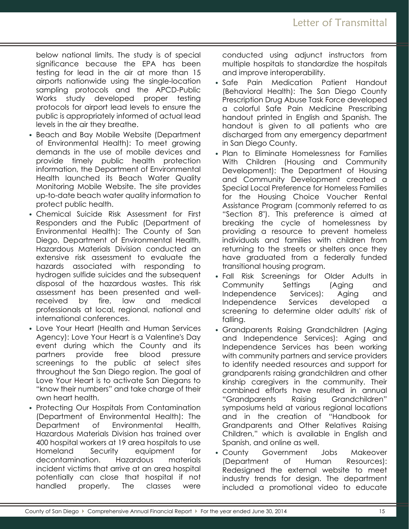below national limits. The study is of special significance because the EPA has been testing for lead in the air at more than 15 airports nationwide using the single-location sampling protocols and the APCD-Public Works study developed proper testing protocols for airport lead levels to ensure the public is appropriately informed of actual lead levels in the air they breathe.

- Beach and Bay Mobile Website (Department of Environmental Health): To meet growing demands in the use of mobile devices and provide timely public health protection information, the Department of Environmental Health launched its Beach Water Quality Monitoring Mobile Website. The site provides up-to-date beach water quality information to protect public health.
- Chemical Suicide Risk Assessment for First Responders and the Public (Department of Environmental Health): The County of San Diego, Department of Environmental Health, Hazardous Materials Division conducted an extensive risk assessment to evaluate the hazards associated with responding to hydrogen sulfide suicides and the subsequent disposal of the hazardous wastes. This risk assessment has been presented and wellreceived by fire, law and medical professionals at local, regional, national and international conferences.
- Love Your Heart (Health and Human Services Agency): Love Your Heart is a Valentine's Day event during which the County and its partners provide free blood pressure screenings to the public at select sites throughout the San Diego region. The goal of Love Your Heart is to activate San Diegans to "know their numbers" and take charge of their own heart health.
- Protecting Our Hospitals From Contamination (Department of Environmental Health): The Department of Environmental Health, Hazardous Materials Division has trained over 400 hospital workers at 19 area hospitals to use Homeland Security equipment for decontamination. Hazardous materials incident victims that arrive at an area hospital potentially can close that hospital if not handled properly. The classes were

conducted using adjunct instructors from multiple hospitals to standardize the hospitals and improve interoperability.

- Safe Pain Medication Patient Handout (Behavioral Health): The San Diego County Prescription Drug Abuse Task Force developed a colorful Safe Pain Medicine Prescribing handout printed in English and Spanish. The handout is given to all patients who are discharged from any emergency department in San Diego County.
- Plan to Eliminate Homelessness for Families With Children (Housing and Community Development): The Department of Housing and Community Development created a Special Local Preference for Homeless Families for the Housing Choice Voucher Rental Assistance Program (commonly referred to as "Section 8"). This preference is aimed at breaking the cycle of homelessness by providing a resource to prevent homeless individuals and families with children from returning to the streets or shelters once they have graduated from a federally funded transitional housing program.
- Fall Risk Screenings for Older Adults in Community Settings (Aging and Independence Services): Aging and Independence Services developed a screening to determine older adults' risk of falling.
- Grandparents Raising Grandchildren (Aging and Independence Services): Aging and Independence Services has been working with community partners and service providers to identify needed resources and support for grandparents raising grandchildren and other kinship caregivers in the community. Their combined efforts have resulted in annual "Grandparents Raising Grandchildren" symposiums held at various regional locations and in the creation of "Handbook for Grandparents and Other Relatives Raising Children," which is available in English and Spanish, and online as well.
- County Government Jobs Makeover (Department of Human Resources): Redesigned the external website to meet industry trends for design. The department included a promotional video to educate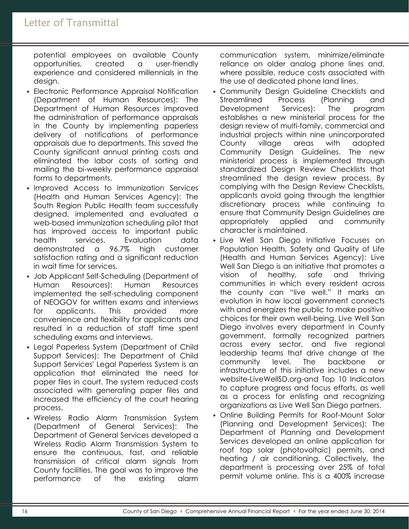potential employees on available County opportunities, created a user-friendly experience and considered millennials in the design.

- Electronic Performance Appraisal Notification (Department of Human Resources): The Department of Human Resources improved the administration of performance appraisals in the County by implementing paperless delivery of notifications of performance appraisals due to departments. This saved the County significant annual printing costs and eliminated the labor costs of sorting and mailing the bi-weekly performance appraisal forms to departments.
- Improved Access to Immunization Services (Health and Human Services Agency): The South Region Public Health team successfully designed, implemented and evaluated a web-based immunization scheduling pilot that has improved access to important public health services. Evaluation data demonstrated a 96.7% high customer satisfaction rating and a significant reduction in wait time for services.
- Job Applicant Self-Scheduling (Department of Human Resources): Human Resources implemented the self-scheduling component of NEOGOV for written exams and interviews for applicants. This provided more convenience and flexibility for applicants and resulted in a reduction of staff time spent scheduling exams and interviews.
- Legal Paperless System (Department of Child Support Services): The Department of Child Support Services' Legal Paperless System is an application that eliminated the need for paper files in court. The system reduced costs associated with generating paper files and increased the efficiency of the court hearing process.
- Wireless Radio Alarm Transmission System (Department of General Services): The Department of General Services developed a Wireless Radio Alarm Transmission System to ensure the continuous, fast, and reliable transmission of critical alarm signals from County facilities. The goal was to improve the performance of the existing alarm

communication system, minimize/eliminate reliance on older analog phone lines and, where possible, reduce costs associated with the use of dedicated phone land lines.

- Community Design Guideline Checklists and Streamlined Process (Planning and Development Services): The program establishes a new ministerial process for the design review of multi-family, commercial and industrial projects within nine unincorporated County village areas with adopted Community Design Guidelines. The new ministerial process is implemented through standardized Design Review Checklists that streamlined the design review process. By complying with the Design Review Checklists, applicants avoid going through the lengthier discretionary process while continuing to ensure that Community Design Guidelines are appropriately applied and community character is maintained.
- Live Well San Diego Initiative Focuses on Population Health, Safety and Quality of Life (Health and Human Services Agency): Live Well San Diego is an initiative that promotes a vision of healthy, safe and thriving communities in which every resident across the county can "live well." It marks an evolution in how local government connects with and energizes the public to make positive choices for their own well-being. Live Well San Diego involves every department in County government, formally recognized partners across every sector, and five regional leadership teams that drive change at the community level. The backbone or infrastructure of this initiative includes a new website-LiveWellSD.org-and Top 10 Indicators to capture progress and focus efforts, as well as a process for enlisting and recognizing organizations as Live Well San Diego partners.
- Online Building Permits for Roof-Mount Solar (Planning and Development Services): The Department of Planning and Development Services developed an online application for roof top solar (photovoltaic) permits, and heating / air conditioning. Collectively, the department is processing over 25% of total permit volume online. This is a 400% increase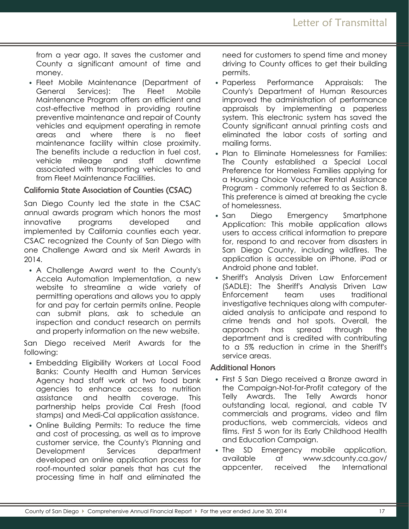from a year ago. It saves the customer and County a significant amount of time and money.

• Fleet Mobile Maintenance (Department of General Services): The Fleet Mobile Maintenance Program offers an efficient and cost-effective method in providing routine preventive maintenance and repair of County vehicles and equipment operating in remote areas and where there is no fleet maintenance facility within close proximity. The benefits include a reduction in fuel cost, vehicle mileage and staff downtime associated with transporting vehicles to and from Fleet Maintenance Facilities.

#### California State Association of Counties (CSAC)

San Diego County led the state in the CSAC annual awards program which honors the most innovative programs developed and implemented by California counties each year. CSAC recognized the County of San Diego with one Challenge Award and six Merit Awards in 2014.

• A Challenge Award went to the County's Accela Automation Implementation, a new website to streamline a wide variety of permitting operations and allows you to apply for and pay for certain permits online. People can submit plans, ask to schedule an inspection and conduct research on permits and property information on the new website.

San Diego received Merit Awards for the following:

- Embedding Eligibility Workers at Local Food Banks: County Health and Human Services Agency had staff work at two food bank agencies to enhance access to nutrition assistance and health coverage. This partnership helps provide Cal Fresh (food stamps) and Medi-Cal application assistance.
- Online Building Permits: To reduce the time and cost of processing, as well as to improve customer service, the County's Planning and Development Services department developed an online application process for roof-mounted solar panels that has cut the processing time in half and eliminated the

need for customers to spend time and money driving to County offices to get their building permits.

- Paperless Performance Appraisals: The County's Department of Human Resources improved the administration of performance appraisals by implementing a paperless system. This electronic system has saved the County significant annual printing costs and eliminated the labor costs of sorting and mailing forms.
- Plan to Eliminate Homelessness for Families: The County established a Special Local Preference for Homeless Families applying for a Housing Choice Voucher Rental Assistance Program - commonly referred to as Section 8. This preference is aimed at breaking the cycle of homelessness.
- San Diego Emergency Smartphone Application: This mobile application allows users to access critical information to prepare for, respond to and recover from disasters in San Diego County, including wildfires. The application is accessible on iPhone, iPad or Android phone and tablet.
- Sheriff's Analysis Driven Law Enforcement (SADLE): The Sheriff's Analysis Driven Law Enforcement team uses traditional investigative techniques along with computeraided analysis to anticipate and respond to crime trends and hot spots. Overall, the approach has spread through the department and is credited with contributing to a 5% reduction in crime in the Sheriff's service areas.

#### Additional Honors

- First 5 San Diego received a Bronze award in the Campaign-Not-for-Profit category of the Telly Awards. The Telly Awards honor outstanding local, regional, and cable TV commercials and programs, video and film productions, web commercials, videos and films. First 5 won for its Early Childhood Health and Education Campaign.
- The SD Emergency mobile application, available at www.sdcounty.ca.gov/ appcenter, received the International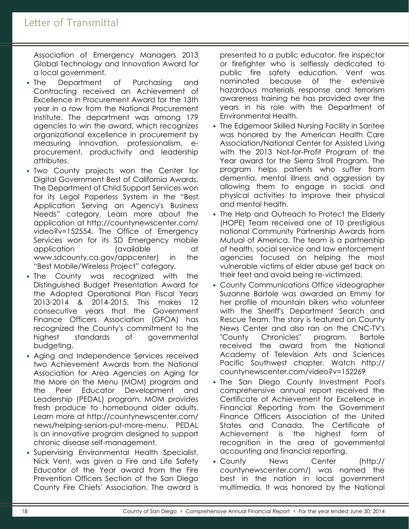Association of Emergency Managers 2013 Global Technology and Innovation Award for a local government.

- The Department of Purchasing and Contracting received an Achievement of Excellence in Procurement Award for the 13th year in a row from the National Procurement Institute. The department was among 179 agencies to win the award, which recognizes organizational excellence in procurement by measuring innovation, professionalism, eprocurement, productivity and leadership attributes.
- Two County projects won the Center for Digital Government Best of California Awards. The Department of Child Support Services won for its Legal Paperless System in the "Best Application Serving an Agency's Business Needs" category. Learn more about the application at http://countynewscenter.com/ video?v=152554. The Office of Emergency Services won for its SD Emergency mobile application (available at www.sdcounty.ca.gov/appcenter) in the "Best Mobile/Wireless Project" category.
- The County was recognized with the Distinguished Budget Presentation Award for the Adopted Operational Plan Fiscal Years 2013-2014 & 2014-2015. This makes 12 consecutive years that the Government Finance Officers Association (GFOA) has recognized the County's commitment to the highest standards of governmental budgeting.
- Aging and Independence Services received two Achievement Awards from the National Association for Area Agencies on Aging for the More on the Menu (MOM) program and the Peer Educator Development and Leadership (PEDAL) program. MOM provides fresh produce to homebound older adults. Learn more at http://countynewscenter.com/ news/helping-seniors-put-more-menu. PEDAL is an innovative program designed to support chronic disease self-management.
- Supervising Environmental Health Specialist, Nick Vent, was given a Fire and Life Safety Educator of the Year award from the Fire Prevention Officers Section of the San Diego County Fire Chiefs' Association. The award is

presented to a public educator, fire inspector or firefighter who is selflessly dedicated to public fire safety education. Vent was nominated because of the extensive hazardous materials response and terrorism awareness training he has provided over the years in his role with the Department of Environmental Health.

- The Edgemoor Skilled Nursing Facility in Santee was honored by the American Health Care Association/National Center for Assisted Living with the 2013 Not-for-Profit Program of the Year award for the Sierra Stroll Program. The program helps patients who suffer from dementia, mental illness and aggression by allowing them to engage in social and physical activities to improve their physical and mental health.
- The Help and Outreach to Protect the Elderly (HOPE) Team received one of 10 prestigious national Community Partnership Awards from Mutual of America. The team is a partnership of health, social service and law enforcement agencies focused on helping the most vulnerable victims of elder abuse get back on their feet and avoid being re-victimized.
- County Communications Office videographer Suzanne Bartole was awarded an Emmy for her profile of mountain bikers who volunteer with the Sheriff's Department Search and Rescue Team. The story is featured on County News Center and also ran on the CNC-TV's "County Chronicles" program. Bartole received the award from the National Academy of Television Arts and Sciences Pacific Southwest chapter. Watch http:// countynewscenter.com/video?v=152269
- The San Diego County Investment Pool's comprehensive annual report received the Certificate of Achievement for Excellence in Financial Reporting from the Government Finance Officers Association of the United States and Canada. The Certificate of Achievement is the highest form of recognition in the area of governmental accounting and financial reporting.
- County News Center (http:// countynewscenter.com/) was named the best in the nation in local government multimedia. It was honored by the National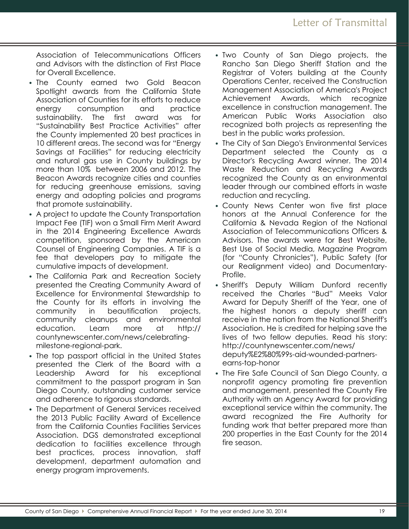Association of Telecommunications Officers and Advisors with the distinction of First Place for Overall Excellence.

- The County earned two Gold Beacon Spotlight awards from the California State Association of Counties for its efforts to reduce energy consumption and practice sustainability. The first award was for "Sustainability Best Practice Activities" after the County implemented 20 best practices in 10 different areas. The second was for "Energy Savings at Facilities" for reducing electricity and natural gas use in County buildings by more than 10% between 2006 and 2012. The Beacon Awards recognize cities and counties for reducing greenhouse emissions, saving energy and adopting policies and programs that promote sustainability.
- A project to update the County Transportation Impact Fee (TIF) won a Small Firm Merit Award in the 2014 Engineering Excellence Awards competition, sponsored by the American Counsel of Engineering Companies. A TIF is a fee that developers pay to mitigate the cumulative impacts of development.
- The California Park and Recreation Society presented the Creating Community Award of Excellence for Environmental Stewardship to the County for its efforts in involving the community in beautification projects, community cleanups and environmental education. Learn more at http:// countynewscenter.com/news/celebratingmilestone-regional-park.
- The top passport official in the United States presented the Clerk of the Board with a Leadership Award for his exceptional commitment to the passport program in San Diego County, outstanding customer service and adherence to rigorous standards.
- The Department of General Services received the 2013 Public Facility Award of Excellence from the California Counties Facilities Services Association. DGS demonstrated exceptional dedication to facilities excellence through best practices, process innovation, staff development, department automation and energy program improvements.
- Two County of San Diego projects, the Rancho San Diego Sheriff Station and the Registrar of Voters building at the County Operations Center, received the Construction Management Association of America's Project Achievement Awards, which recognize excellence in construction management. The American Public Works Association also recognized both projects as representing the best in the public works profession.
- The City of San Diego's Environmental Services Department selected the County as a Director's Recycling Award winner. The 2014 Waste Reduction and Recycling Awards recognized the County as an environmental leader through our combined efforts in waste reduction and recycling.
- County News Center won five first place honors at the Annual Conference for the California & Nevada Region of the National Association of Telecommunications Officers & Advisors. The awards were for Best Website, Best Use of Social Media, Magazine Program (for "County Chronicles"), Public Safety (for our Realignment video) and Documentary-Profile.
- Sheriff's Deputy William Dunford recently received the Charles "Bud" Meeks Valor Award for Deputy Sheriff of the Year, one of the highest honors a deputy sheriff can receive in the nation from the National Sheriff's Association. He is credited for helping save the lives of two fellow deputies. Read his story: http://countynewscenter.com/news/ deputy%E2%80%99s-aid-wounded-partnersearns-top-honor
- The Fire Safe Council of San Diego County, a nonprofit agency promoting fire prevention and management, presented the County Fire Authority with an Agency Award for providing exceptional service within the community. The award recognized the Fire Authority for funding work that better prepared more than 200 properties in the East County for the 2014 fire season.